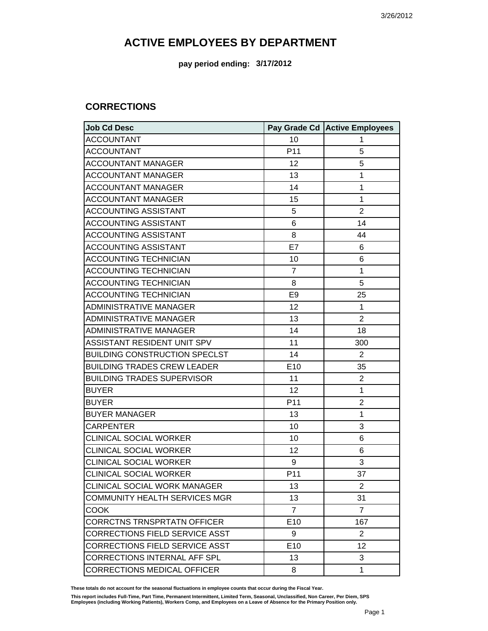**pay period ending: 3/17/2012**

#### **CORRECTIONS**

| Job Cd Desc                           |                 | Pay Grade Cd   Active Employees |
|---------------------------------------|-----------------|---------------------------------|
| <b>ACCOUNTANT</b>                     | 10              | 1                               |
| <b>ACCOUNTANT</b>                     | P11             | 5                               |
| <b>ACCOUNTANT MANAGER</b>             | 12              | 5                               |
| <b>ACCOUNTANT MANAGER</b>             | 13              | 1                               |
| <b>ACCOUNTANT MANAGER</b>             | 14              | 1                               |
| <b>ACCOUNTANT MANAGER</b>             | 15              | 1                               |
| <b>ACCOUNTING ASSISTANT</b>           | 5               | $\overline{2}$                  |
| <b>ACCOUNTING ASSISTANT</b>           | 6               | 14                              |
| <b>ACCOUNTING ASSISTANT</b>           | 8               | 44                              |
| <b>ACCOUNTING ASSISTANT</b>           | E7              | 6                               |
| <b>ACCOUNTING TECHNICIAN</b>          | 10              | 6                               |
| <b>ACCOUNTING TECHNICIAN</b>          | $\overline{7}$  | 1                               |
| <b>ACCOUNTING TECHNICIAN</b>          | 8               | 5                               |
| <b>ACCOUNTING TECHNICIAN</b>          | E <sub>9</sub>  | 25                              |
| <b>ADMINISTRATIVE MANAGER</b>         | 12              | 1                               |
| <b>ADMINISTRATIVE MANAGER</b>         | 13              | $\overline{2}$                  |
| <b>ADMINISTRATIVE MANAGER</b>         | 14              | 18                              |
| ASSISTANT RESIDENT UNIT SPV           | 11              | 300                             |
| <b>BUILDING CONSTRUCTION SPECLST</b>  | 14              | $\overline{2}$                  |
| <b>BUILDING TRADES CREW LEADER</b>    | E10             | 35                              |
| <b>BUILDING TRADES SUPERVISOR</b>     | 11              | $\overline{2}$                  |
| <b>BUYER</b>                          | 12              | 1                               |
| <b>BUYER</b>                          | P11             | $\overline{2}$                  |
| <b>BUYER MANAGER</b>                  | 13              | 1                               |
| <b>CARPENTER</b>                      | 10              | 3                               |
| <b>CLINICAL SOCIAL WORKER</b>         | 10              | 6                               |
| <b>CLINICAL SOCIAL WORKER</b>         | 12              | 6                               |
| <b>CLINICAL SOCIAL WORKER</b>         | 9               | 3                               |
| <b>CLINICAL SOCIAL WORKER</b>         | P11             | 37                              |
| <b>CLINICAL SOCIAL WORK MANAGER</b>   | 13              | 2                               |
| COMMUNITY HEALTH SERVICES MGR         | 13              | 31                              |
| <b>COOK</b>                           | $\overline{7}$  | $\overline{7}$                  |
| <b>CORRCTNS TRNSPRTATN OFFICER</b>    | E10             | 167                             |
| <b>CORRECTIONS FIELD SERVICE ASST</b> | 9               | $\overline{2}$                  |
| CORRECTIONS FIELD SERVICE ASST        | E <sub>10</sub> | 12                              |
| <b>CORRECTIONS INTERNAL AFF SPL</b>   | 13              | 3                               |
| <b>CORRECTIONS MEDICAL OFFICER</b>    | 8               | 1                               |

**These totals do not account for the seasonal fluctuations in employee counts that occur during the Fiscal Year.**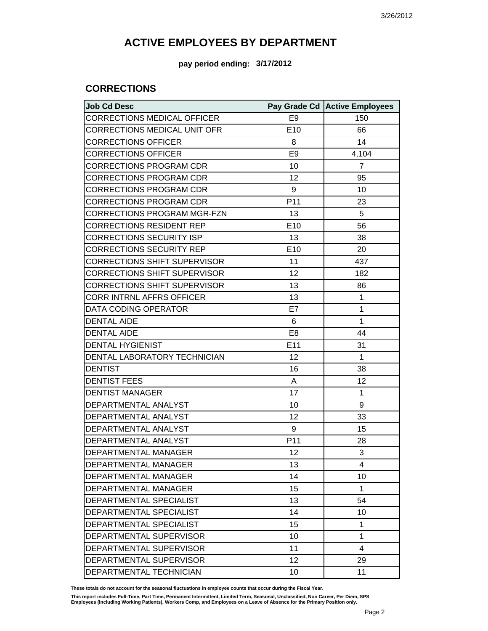#### **pay period ending: 3/17/2012**

### **CORRECTIONS**

| <b>Job Cd Desc</b>             |                 | Pay Grade Cd   Active Employees |
|--------------------------------|-----------------|---------------------------------|
| CORRECTIONS MEDICAL OFFICER    | E <sub>9</sub>  | 150                             |
| CORRECTIONS MEDICAL UNIT OFR   | E10             | 66                              |
| <b>CORRECTIONS OFFICER</b>     | 8               | 14                              |
| <b>CORRECTIONS OFFICER</b>     | E <sub>9</sub>  | 4,104                           |
| CORRECTIONS PROGRAM CDR        | 10              | $\overline{7}$                  |
| CORRECTIONS PROGRAM CDR        | 12              | 95                              |
| <b>CORRECTIONS PROGRAM CDR</b> | 9               | 10                              |
| CORRECTIONS PROGRAM CDR        | P11             | 23                              |
| CORRECTIONS PROGRAM MGR-FZN    | 13              | 5                               |
| CORRECTIONS RESIDENT REP       | E10             | 56                              |
| CORRECTIONS SECURITY ISP       | 13              | 38                              |
| CORRECTIONS SECURITY REP       | E <sub>10</sub> | 20                              |
| CORRECTIONS SHIFT SUPERVISOR   | 11              | 437                             |
| CORRECTIONS SHIFT SUPERVISOR   | 12              | 182                             |
| CORRECTIONS SHIFT SUPERVISOR   | 13              | 86                              |
| CORR INTRNL AFFRS OFFICER      | 13              | 1                               |
| DATA CODING OPERATOR           | E7              | 1                               |
| <b>DENTAL AIDE</b>             | 6               | 1                               |
| <b>DENTAL AIDE</b>             | E <sub>8</sub>  | 44                              |
| <b>DENTAL HYGIENIST</b>        | E11             | 31                              |
| DENTAL LABORATORY TECHNICIAN   | 12              | 1                               |
| <b>DENTIST</b>                 | 16              | 38                              |
| <b>DENTIST FEES</b>            | A               | 12                              |
| <b>DENTIST MANAGER</b>         | 17              | 1                               |
| DEPARTMENTAL ANALYST           | 10              | 9                               |
| DEPARTMENTAL ANALYST           | 12              | 33                              |
| DEPARTMENTAL ANALYST           | 9               | 15                              |
| DEPARTMENTAL ANALYST           | P11             | 28                              |
| <b>DEPARTMENTAL MANAGER</b>    | 12              | 3                               |
| DEPARTMENTAL MANAGER           | 13              | 4                               |
| DEPARTMENTAL MANAGER           | 14              | 10                              |
| DEPARTMENTAL MANAGER           | 15              | 1                               |
| DEPARTMENTAL SPECIALIST        | 13              | 54                              |
| DEPARTMENTAL SPECIALIST        | 14              | 10                              |
| DEPARTMENTAL SPECIALIST        | 15              | 1                               |
| DEPARTMENTAL SUPERVISOR        | 10              | 1                               |
| DEPARTMENTAL SUPERVISOR        | 11              | 4                               |
| DEPARTMENTAL SUPERVISOR        | 12              | 29                              |
| DEPARTMENTAL TECHNICIAN        | 10              | 11                              |

**These totals do not account for the seasonal fluctuations in employee counts that occur during the Fiscal Year.**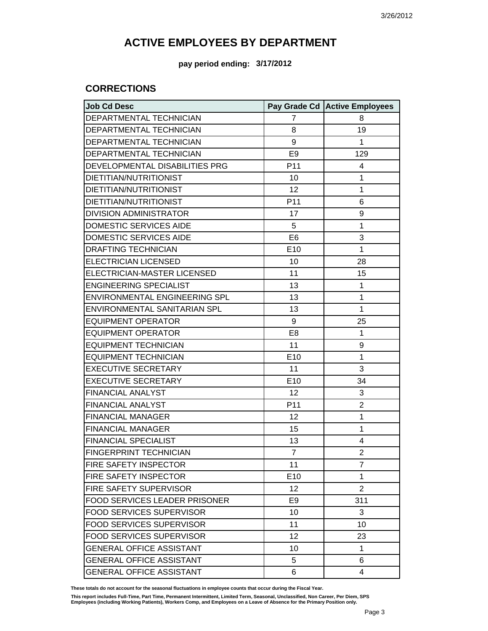**pay period ending: 3/17/2012**

### **CORRECTIONS**

| <b>Job Cd Desc</b>              |                | Pay Grade Cd Active Employees |
|---------------------------------|----------------|-------------------------------|
| DEPARTMENTAL TECHNICIAN         | 7              | 8                             |
| DEPARTMENTAL TECHNICIAN         | 8              | 19                            |
| DEPARTMENTAL TECHNICIAN         | 9              | $\mathbf{1}$                  |
| DEPARTMENTAL TECHNICIAN         | E <sub>9</sub> | 129                           |
| DEVELOPMENTAL DISABILITIES PRG  | P11            | 4                             |
| DIETITIAN/NUTRITIONIST          | 10             | 1                             |
| DIETITIAN/NUTRITIONIST          | 12             | 1                             |
| DIETITIAN/NUTRITIONIST          | P11            | 6                             |
| <b>DIVISION ADMINISTRATOR</b>   | 17             | 9                             |
| <b>DOMESTIC SERVICES AIDE</b>   | 5              | 1                             |
| DOMESTIC SERVICES AIDE          | E <sub>6</sub> | 3                             |
| <b>DRAFTING TECHNICIAN</b>      | E10            | $\mathbf{1}$                  |
| <b>ELECTRICIAN LICENSED</b>     | 10             | 28                            |
| ELECTRICIAN-MASTER LICENSED     | 11             | 15                            |
| <b>ENGINEERING SPECIALIST</b>   | 13             | $\mathbf{1}$                  |
| ENVIRONMENTAL ENGINEERING SPL   | 13             | 1                             |
| ENVIRONMENTAL SANITARIAN SPL    | 13             | $\mathbf{1}$                  |
| <b>EQUIPMENT OPERATOR</b>       | 9              | 25                            |
| <b>EQUIPMENT OPERATOR</b>       | E <sub>8</sub> | $\mathbf{1}$                  |
| <b>EQUIPMENT TECHNICIAN</b>     | 11             | 9                             |
| <b>EQUIPMENT TECHNICIAN</b>     | E10            | $\mathbf{1}$                  |
| <b>EXECUTIVE SECRETARY</b>      | 11             | 3                             |
| <b>EXECUTIVE SECRETARY</b>      | E10            | 34                            |
| <b>FINANCIAL ANALYST</b>        | 12             | 3                             |
| <b>FINANCIAL ANALYST</b>        | P11            | $\overline{2}$                |
| <b>FINANCIAL MANAGER</b>        | 12             | 1                             |
| <b>FINANCIAL MANAGER</b>        | 15             | 1                             |
| <b>FINANCIAL SPECIALIST</b>     | 13             | 4                             |
| <b>FINGERPRINT TECHNICIAN</b>   | $\overline{7}$ | $\overline{2}$                |
| FIRE SAFETY INSPECTOR           | 11             | 7                             |
| <b>FIRE SAFETY INSPECTOR</b>    | E10            | 1                             |
| <b>FIRE SAFETY SUPERVISOR</b>   | 12             | $\overline{2}$                |
| FOOD SERVICES LEADER PRISONER   | E <sub>9</sub> | 311                           |
| <b>FOOD SERVICES SUPERVISOR</b> | 10             | 3                             |
| <b>FOOD SERVICES SUPERVISOR</b> | 11             | 10                            |
| <b>FOOD SERVICES SUPERVISOR</b> | 12             | 23                            |
| <b>GENERAL OFFICE ASSISTANT</b> | 10             | $\mathbf{1}$                  |
| <b>GENERAL OFFICE ASSISTANT</b> | 5              | 6                             |
| <b>GENERAL OFFICE ASSISTANT</b> | 6              | $\overline{4}$                |

**These totals do not account for the seasonal fluctuations in employee counts that occur during the Fiscal Year.**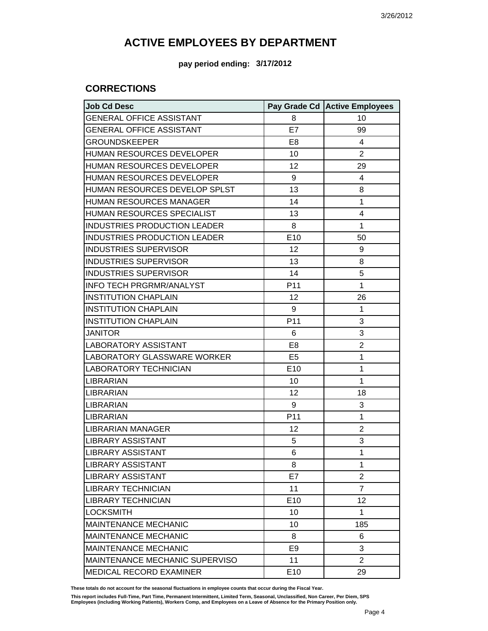**pay period ending: 3/17/2012**

### **CORRECTIONS**

| <b>Job Cd Desc</b>                    |                 | Pay Grade Cd Active Employees |
|---------------------------------------|-----------------|-------------------------------|
| <b>GENERAL OFFICE ASSISTANT</b>       | 8               | 10                            |
| <b>GENERAL OFFICE ASSISTANT</b>       | E7              | 99                            |
| <b>GROUNDSKEEPER</b>                  | E <sub>8</sub>  | 4                             |
| <b>HUMAN RESOURCES DEVELOPER</b>      | 10              | $\overline{2}$                |
| HUMAN RESOURCES DEVELOPER             | 12              | 29                            |
| <b>HUMAN RESOURCES DEVELOPER</b>      | 9               | 4                             |
| HUMAN RESOURCES DEVELOP SPLST         | 13              | 8                             |
| <b>HUMAN RESOURCES MANAGER</b>        | 14              | 1                             |
| HUMAN RESOURCES SPECIALIST            | 13              | 4                             |
| <b>INDUSTRIES PRODUCTION LEADER</b>   | 8               | 1                             |
| INDUSTRIES PRODUCTION LEADER          | E <sub>10</sub> | 50                            |
| <b>INDUSTRIES SUPERVISOR</b>          | 12              | 9                             |
| <b>INDUSTRIES SUPERVISOR</b>          | 13              | 8                             |
| <b>INDUSTRIES SUPERVISOR</b>          | 14              | 5                             |
| <b>INFO TECH PRGRMR/ANALYST</b>       | P <sub>11</sub> | 1                             |
| <b>INSTITUTION CHAPLAIN</b>           | 12              | 26                            |
| <b>INSTITUTION CHAPLAIN</b>           | 9               | 1                             |
| <b>INSTITUTION CHAPLAIN</b>           | P <sub>11</sub> | 3                             |
| <b>JANITOR</b>                        | 6               | 3                             |
| LABORATORY ASSISTANT                  | E8              | $\overline{2}$                |
| ILABORATORY GLASSWARE WORKER          | E <sub>5</sub>  | 1                             |
| LABORATORY TECHNICIAN                 | E <sub>10</sub> | 1                             |
| <b>LIBRARIAN</b>                      | 10              | 1                             |
| ILIBRARIAN                            | 12              | 18                            |
| <b>LIBRARIAN</b>                      | 9               | 3                             |
| <b>ILIBRARIAN</b>                     | P <sub>11</sub> | 1                             |
| LIBRARIAN MANAGER                     | 12              | $\overline{2}$                |
| LIBRARY ASSISTANT                     | 5               | 3                             |
| <b>LIBRARY ASSISTANT</b>              | 6               | 1                             |
| <b>LIBRARY ASSISTANT</b>              | 8               | 1                             |
| <b>LIBRARY ASSISTANT</b>              | E7              | $\overline{2}$                |
| LIBRARY TECHNICIAN                    | 11              | $\overline{7}$                |
| <b>LIBRARY TECHNICIAN</b>             | E <sub>10</sub> | 12                            |
| <b>LOCKSMITH</b>                      | 10              | 1                             |
| <b>MAINTENANCE MECHANIC</b>           | 10              | 185                           |
| <b>MAINTENANCE MECHANIC</b>           | 8               | 6                             |
| <b>MAINTENANCE MECHANIC</b>           | E <sub>9</sub>  | 3                             |
| <b>MAINTENANCE MECHANIC SUPERVISO</b> | 11              | $\overline{2}$                |
| <b>MEDICAL RECORD EXAMINER</b>        | E10             | 29                            |

**These totals do not account for the seasonal fluctuations in employee counts that occur during the Fiscal Year.**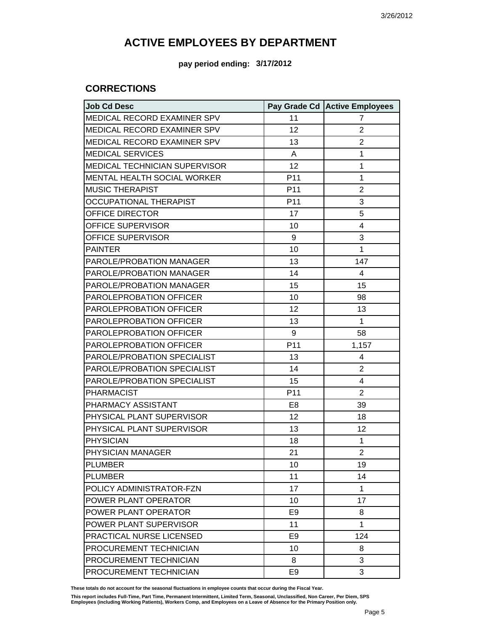**pay period ending: 3/17/2012**

### **CORRECTIONS**

| <b>Job Cd Desc</b>              |                 | Pay Grade Cd   Active Employees |
|---------------------------------|-----------------|---------------------------------|
| MEDICAL RECORD EXAMINER SPV     | 11              | $\overline{7}$                  |
| MEDICAL RECORD EXAMINER SPV     | 12              | $\overline{2}$                  |
| MEDICAL RECORD EXAMINER SPV     | 13              | $\overline{2}$                  |
| <b>MEDICAL SERVICES</b>         | A               | 1                               |
| MEDICAL TECHNICIAN SUPERVISOR   | 12              | 1                               |
| MENTAL HEALTH SOCIAL WORKER     | P11             | 1                               |
| <b>MUSIC THERAPIST</b>          | P <sub>11</sub> | $\overline{2}$                  |
| <b>OCCUPATIONAL THERAPIST</b>   | P11             | 3                               |
| OFFICE DIRECTOR                 | 17              | 5                               |
| OFFICE SUPERVISOR               | 10              | 4                               |
| OFFICE SUPERVISOR               | 9               | 3                               |
| <b>PAINTER</b>                  | 10              | 1                               |
| PAROLE/PROBATION MANAGER        | 13              | 147                             |
| PAROLE/PROBATION MANAGER        | 14              | 4                               |
| PAROLE/PROBATION MANAGER        | 15              | 15                              |
| PAROLEPROBATION OFFICER         | 10              | 98                              |
| PAROLEPROBATION OFFICER         | 12              | 13                              |
| PAROLEPROBATION OFFICER         | 13              | 1                               |
| PAROLEPROBATION OFFICER         | 9               | 58                              |
| PAROLEPROBATION OFFICER         | P11             | 1,157                           |
| PAROLE/PROBATION SPECIALIST     | 13              | 4                               |
| PAROLE/PROBATION SPECIALIST     | 14              | $\overline{2}$                  |
| PAROLE/PROBATION SPECIALIST     | 15              | 4                               |
| <b>PHARMACIST</b>               | P11             | $\overline{2}$                  |
| PHARMACY ASSISTANT              | E8              | 39                              |
| PHYSICAL PLANT SUPERVISOR       | 12              | 18                              |
| PHYSICAL PLANT SUPERVISOR       | 13              | 12                              |
| <b>PHYSICIAN</b>                | 18              | 1                               |
| PHYSICIAN MANAGER               | 21              | $\overline{2}$                  |
| <b>PLUMBER</b>                  | 10              | 19                              |
| <b>PLUMBER</b>                  | 11              | 14                              |
| POLICY ADMINISTRATOR-FZN        | 17              | 1                               |
| POWER PLANT OPERATOR            | 10              | 17                              |
| POWER PLANT OPERATOR            | E9              | 8                               |
| POWER PLANT SUPERVISOR          | 11              | 1                               |
| <b>PRACTICAL NURSE LICENSED</b> | E9              | 124                             |
| PROCUREMENT TECHNICIAN          | 10              | 8                               |
| PROCUREMENT TECHNICIAN          | 8               | 3                               |
| PROCUREMENT TECHNICIAN          | E <sub>9</sub>  | 3                               |

**These totals do not account for the seasonal fluctuations in employee counts that occur during the Fiscal Year.**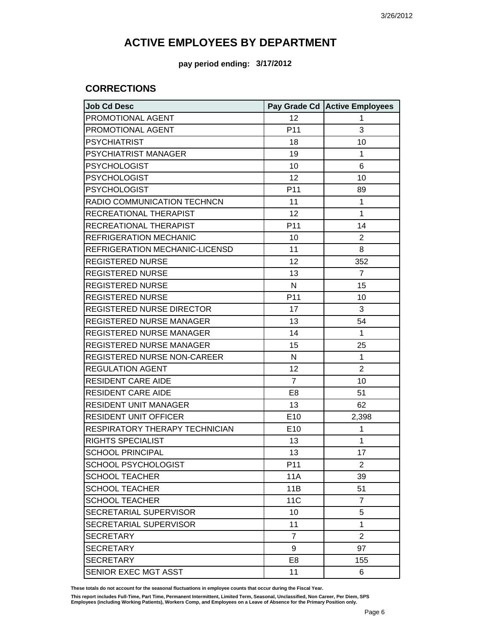**pay period ending: 3/17/2012**

### **CORRECTIONS**

| <b>Job Cd Desc</b>             |                 | Pay Grade Cd Active Employees |
|--------------------------------|-----------------|-------------------------------|
| PROMOTIONAL AGENT              | 12              | 1                             |
| PROMOTIONAL AGENT              | P <sub>11</sub> | 3                             |
| <b>PSYCHIATRIST</b>            | 18              | 10                            |
| PSYCHIATRIST MANAGER           | 19              | 1                             |
| <b>PSYCHOLOGIST</b>            | 10              | 6                             |
| <b>PSYCHOLOGIST</b>            | 12              | 10                            |
| <b>PSYCHOLOGIST</b>            | P11             | 89                            |
| RADIO COMMUNICATION TECHNCN    | 11              | 1                             |
| RECREATIONAL THERAPIST         | 12              | 1                             |
| RECREATIONAL THERAPIST         | P11             | 14                            |
| REFRIGERATION MECHANIC         | 10              | $\overline{2}$                |
| REFRIGERATION MECHANIC-LICENSD | 11              | 8                             |
| <b>REGISTERED NURSE</b>        | 12              | 352                           |
| <b>REGISTERED NURSE</b>        | 13              | $\overline{7}$                |
| REGISTERED NURSE               | $\mathsf{N}$    | 15                            |
| <b>REGISTERED NURSE</b>        | P11             | 10                            |
| REGISTERED NURSE DIRECTOR      | 17              | 3                             |
| REGISTERED NURSE MANAGER       | 13              | 54                            |
| REGISTERED NURSE MANAGER       | 14              | $\mathbf{1}$                  |
| REGISTERED NURSE MANAGER       | 15              | 25                            |
| REGISTERED NURSE NON-CAREER    | $\mathsf{N}$    | $\mathbf{1}$                  |
| <b>REGULATION AGENT</b>        | 12              | $\overline{2}$                |
| <b>RESIDENT CARE AIDE</b>      | $\overline{7}$  | 10                            |
| RESIDENT CARE AIDE             | E <sub>8</sub>  | 51                            |
| <b>RESIDENT UNIT MANAGER</b>   | 13              | 62                            |
| <b>RESIDENT UNIT OFFICER</b>   | E10             | 2,398                         |
| RESPIRATORY THERAPY TECHNICIAN | E10             | 1                             |
| RIGHTS SPECIALIST              | 13              | 1                             |
| <b>SCHOOL PRINCIPAL</b>        | 13              | 17                            |
| <b>SCHOOL PSYCHOLOGIST</b>     | P <sub>11</sub> | 2                             |
| <b>SCHOOL TEACHER</b>          | <b>11A</b>      | 39                            |
| <b>SCHOOL TEACHER</b>          | 11B             | 51                            |
| <b>SCHOOL TEACHER</b>          | <b>11C</b>      | $\overline{7}$                |
| SECRETARIAL SUPERVISOR         | 10              | 5                             |
| SECRETARIAL SUPERVISOR         | 11              | 1                             |
| <b>SECRETARY</b>               | $\overline{7}$  | $\overline{2}$                |
| <b>SECRETARY</b>               | 9               | 97                            |
| <b>SECRETARY</b>               | E <sub>8</sub>  | 155                           |
| SENIOR EXEC MGT ASST           | 11              | 6                             |

**These totals do not account for the seasonal fluctuations in employee counts that occur during the Fiscal Year.**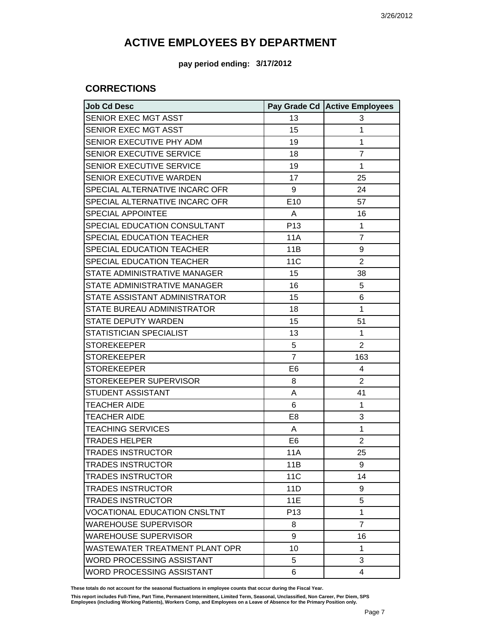**pay period ending: 3/17/2012**

### **CORRECTIONS**

| <b>Job Cd Desc</b>                  |                 | Pay Grade Cd Active Employees |
|-------------------------------------|-----------------|-------------------------------|
| SENIOR EXEC MGT ASST                | 13              | 3                             |
| SENIOR EXEC MGT ASST                | 15              | 1                             |
| SENIOR EXECUTIVE PHY ADM            | 19              | 1                             |
| SENIOR EXECUTIVE SERVICE            | 18              | $\overline{7}$                |
| SENIOR EXECUTIVE SERVICE            | 19              | $\mathbf{1}$                  |
| SENIOR EXECUTIVE WARDEN             | 17              | 25                            |
| SPECIAL ALTERNATIVE INCARC OFR      | 9               | 24                            |
| SPECIAL ALTERNATIVE INCARC OFR      | E10             | 57                            |
| <b>SPECIAL APPOINTEE</b>            | A               | 16                            |
| SPECIAL EDUCATION CONSULTANT        | P <sub>13</sub> | $\mathbf{1}$                  |
| SPECIAL EDUCATION TEACHER           | <b>11A</b>      | $\overline{7}$                |
| SPECIAL EDUCATION TEACHER           | 11B             | 9                             |
| SPECIAL EDUCATION TEACHER           | <b>11C</b>      | $\overline{2}$                |
| STATE ADMINISTRATIVE MANAGER        | 15              | 38                            |
| STATE ADMINISTRATIVE MANAGER        | 16              | 5                             |
| STATE ASSISTANT ADMINISTRATOR       | 15              | 6                             |
| STATE BUREAU ADMINISTRATOR          | 18              | $\mathbf{1}$                  |
| <b>STATE DEPUTY WARDEN</b>          | 15              | 51                            |
| STATISTICIAN SPECIALIST             | 13              | $\mathbf{1}$                  |
| <b>STOREKEEPER</b>                  | 5               | $\overline{2}$                |
| <b>STOREKEEPER</b>                  | $\overline{7}$  | 163                           |
| <b>STOREKEEPER</b>                  | E <sub>6</sub>  | 4                             |
| STOREKEEPER SUPERVISOR              | 8               | $\overline{2}$                |
| STUDENT ASSISTANT                   | Α               | 41                            |
| <b>TEACHER AIDE</b>                 | 6               | $\mathbf{1}$                  |
| <b>TEACHER AIDE</b>                 | E <sub>8</sub>  | 3                             |
| <b>TEACHING SERVICES</b>            | A               | 1                             |
| <b>TRADES HELPER</b>                | E <sub>6</sub>  | $\overline{2}$                |
| <b>TRADES INSTRUCTOR</b>            | <b>11A</b>      | 25                            |
| <b>TRADES INSTRUCTOR</b>            | 11B             | 9                             |
| <b>TRADES INSTRUCTOR</b>            | <b>11C</b>      | 14                            |
| <b>TRADES INSTRUCTOR</b>            | 11D             | 9                             |
| <b>TRADES INSTRUCTOR</b>            | <b>11E</b>      | 5                             |
| <b>VOCATIONAL EDUCATION CNSLTNT</b> | P <sub>13</sub> | $\mathbf{1}$                  |
| <b>WAREHOUSE SUPERVISOR</b>         | 8               | $\overline{7}$                |
| <b>WAREHOUSE SUPERVISOR</b>         | 9               | 16                            |
| WASTEWATER TREATMENT PLANT OPR      | 10              | $\mathbf{1}$                  |
| WORD PROCESSING ASSISTANT           | 5               | 3                             |
| WORD PROCESSING ASSISTANT           | 6               | 4                             |

**These totals do not account for the seasonal fluctuations in employee counts that occur during the Fiscal Year.**